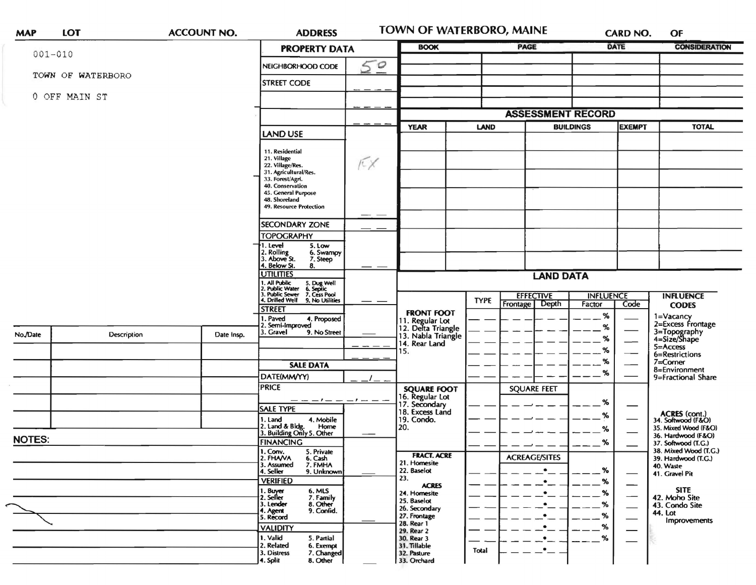| <b>MAP</b>    | <b>LOT</b>        | <b>ACCOUNT NO.</b> | <b>ADDRESS</b>                                                                                                                                              |    | TOWN OF WATERBORO, MAINE                                    |                                                          |                          | <b>CARD NO.</b> |                                     | OF                                                             |
|---------------|-------------------|--------------------|-------------------------------------------------------------------------------------------------------------------------------------------------------------|----|-------------------------------------------------------------|----------------------------------------------------------|--------------------------|-----------------|-------------------------------------|----------------------------------------------------------------|
|               | $001 - 010$       |                    | <b>PROPERTY DATA</b>                                                                                                                                        |    | <b>BOOK</b>                                                 |                                                          | <b>PAGE</b>              | DATE            |                                     | <b>CONSIDERATION</b>                                           |
|               |                   |                    | NEIGHBORHOOD CODE                                                                                                                                           | 50 |                                                             |                                                          |                          |                 |                                     |                                                                |
|               | TOWN OF WATERBORO |                    | <b>STREET CODE</b>                                                                                                                                          |    |                                                             |                                                          |                          |                 |                                     |                                                                |
| 0 OFF MAIN ST |                   |                    |                                                                                                                                                             |    |                                                             |                                                          |                          |                 |                                     |                                                                |
|               |                   |                    |                                                                                                                                                             |    |                                                             |                                                          | <b>ASSESSMENT RECORD</b> |                 |                                     |                                                                |
|               |                   |                    | <b>LAND USE</b>                                                                                                                                             |    | <b>YEAR</b>                                                 | <b>LAND</b><br><b>BUILDINGS</b>                          |                          | <b>EXEMPT</b>   |                                     | <b>TOTAL</b>                                                   |
|               |                   |                    | 11. Residential<br>21. Village<br>22. Village/Res.<br>31. Agricultural/Res.<br>33. Forest/Agri.<br>40. Conservation<br>45. General Purpose<br>48. Shoreland | K  |                                                             |                                                          |                          |                 |                                     |                                                                |
|               |                   |                    | 49. Resource Protection                                                                                                                                     |    |                                                             |                                                          |                          |                 |                                     |                                                                |
|               |                   |                    | <b>SECONDARY ZONE</b>                                                                                                                                       |    |                                                             |                                                          |                          |                 |                                     |                                                                |
|               |                   |                    | <b>TOPOGRAPHY</b><br>1. Level<br>5. Low<br>2. Rolling<br>3. Above St.<br>6. Swampy<br>7. Steep<br>4. Below St.<br>8.                                        |    |                                                             |                                                          |                          |                 |                                     |                                                                |
|               |                   |                    | <b>UTILITIES</b>                                                                                                                                            |    |                                                             |                                                          | <b>LAND DATA</b>         |                 |                                     |                                                                |
|               |                   |                    | 1. Ail Public 5. Dug Well<br>1. Ail Public Vater 6. Septic<br>3. Public Sewer 7. Cess Pool<br>4. Drilled Well 9. No Utilities                               |    |                                                             | <b>EFFECTIVE</b><br><b>INFLUENCE</b><br><b>INFLUENCE</b> |                          |                 |                                     |                                                                |
|               |                   |                    | <b>STREET</b><br>. Paved<br>4. Proposed                                                                                                                     | —— | <b>FRONT FOOT</b>                                           | <b>TYPE</b>                                              | Depth<br>Frontage        | Factor<br>%     | Code                                | <b>CODES</b>                                                   |
| No./Date      | Description       | Date Insp.         | . Semi-Improved<br>. Gravel<br>9. No Street                                                                                                                 |    | 11. Regular Lot<br>12. Delta Triangle<br>13. Nabla Triangle |                                                          |                          | %<br>$\%$       |                                     | 1=Vacancy<br>2=Excess Frontage<br>3=Topography<br>4=Size/Shape |
|               |                   |                    |                                                                                                                                                             |    | 14. Rear Land<br>15.                                        |                                                          |                          | %               |                                     | 5=Access<br>6=Restrictions                                     |
|               |                   |                    | <b>SALE DATA</b>                                                                                                                                            |    | <b>SQUARE FOOT</b><br>16. Regular Lot<br>17. Secondary      |                                                          |                          | %               |                                     | $7 =$ Corner<br>8=Environment                                  |
|               |                   |                    | DATE(MM/YY)                                                                                                                                                 |    |                                                             | <b>SQUARE FEET</b>                                       | %                        |                 | 9=Fractional Share                  |                                                                |
|               |                   |                    | <b>PRICE</b>                                                                                                                                                |    |                                                             |                                                          |                          |                 |                                     |                                                                |
|               |                   |                    | <b>SALE TYPE</b>                                                                                                                                            |    | 18. Excess Land                                             |                                                          | %<br>%                   |                 | ACRES (cont.)<br>34. Softwood (F&O) |                                                                |
|               |                   |                    | 1. Land<br>4. Mobile<br>2. Land & Bldg. Home<br>3. Building Only 5. Other<br>Home                                                                           |    | 19. Condo.<br>20.                                           |                                                          |                          | %               |                                     | 35. Mixed Wood (F&O)                                           |
| <b>NOTES:</b> |                   |                    | <b>FINANCING</b>                                                                                                                                            |    |                                                             |                                                          |                          | %               |                                     | 36. Hardwood (F&O)<br>37. Softwood (T.G.)                      |
|               |                   |                    | 5. Private<br>1. Conv.<br>2. FHAVA<br>6. Cash                                                                                                               |    | <b>FRACT. ACRE</b><br>21. Homesite                          |                                                          | <b>ACREAGE/SITES</b>     |                 |                                     | 38. Mixed Wood (T.G.)<br>39. Hardwood (T.G.)                   |
|               |                   |                    | 3. Assumed<br>7. FMHA<br>4. Seller<br>9. Unknown                                                                                                            |    | 22. Baselot<br>23.                                          |                                                          | $\bullet$                | %               |                                     | 40. Waste<br>41. Gravel Pit                                    |
|               |                   |                    | <b>VERIFIED</b><br>1. Buyer<br>6. MLS                                                                                                                       |    | <b>ACRES</b><br>24. Homesite                                |                                                          | $\bullet$<br>$\bullet$   | %<br>%          |                                     | <b>SITE</b>                                                    |
|               |                   |                    | 2. Seller<br>7. Family<br>8. Other<br>3. Lender                                                                                                             |    | 25. Baselot<br>26. Secondary                                |                                                          | $\bullet$                | %               |                                     | 42. Moho Site<br>43. Condo Site                                |
|               |                   |                    | 9. Confid.<br>4. Agent<br>5. Record                                                                                                                         |    | 27. Frontage<br>28. Rear 1                                  |                                                          |                          | %               |                                     | 44. Lot<br>Improvements                                        |
|               |                   |                    | <b>VALIDITY</b><br>1. Valid<br>5. Partial                                                                                                                   |    | 29. Rear 2<br>30. Rear 3                                    |                                                          | $\bullet$                | %<br>$\%$       |                                     |                                                                |
|               |                   |                    | 2. Related<br>6. Exempt<br>3. Distress<br>7. Changed<br>4. Split<br>8. Other                                                                                |    | 31. Tillable<br>32. Pasture<br>33. Orchard                  | Total                                                    | $\bullet$                |                 |                                     |                                                                |